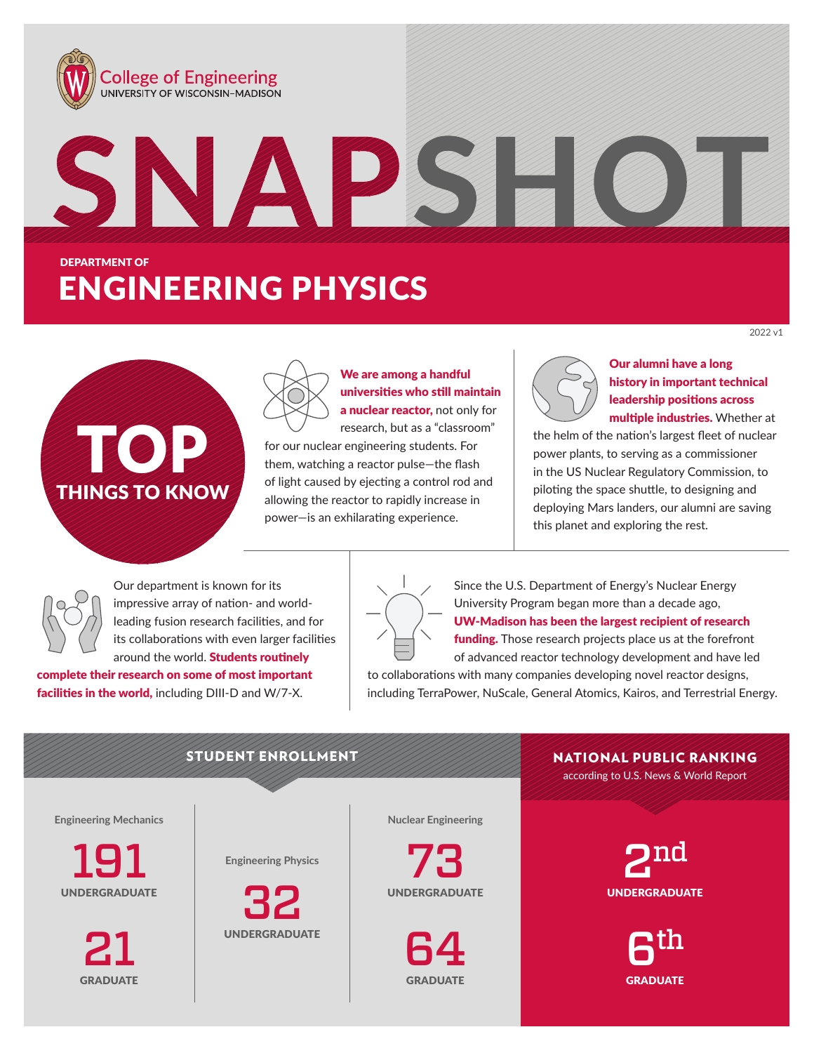





We are among a handful universities who still maintain a nuclear reactor, not only for

research, but as a "classroom" for our nuclear engineering students. For them, watching a reactor pulse—the flash of light caused by ejecting a control rod and allowing the reactor to rapidly increase in power—is an exhilarating experience.



Our alumni have a long history in important technical leadership positions across multiple industries. Whether at

2022 v1

the helm of the nation's largest fleet of nuclear power plants, to serving as a commissioner in the US Nuclear Regulatory Commission, to piloting the space shuttle, to designing and deploying Mars landers, our alumni are saving this planet and exploring the rest.

Our department is known for its impressive array of nation- and worldleading fusion research facilities, and for its collaborations with even larger facilities around the world. **Students routinely** 

complete their research on some of most important facilities in the world, including DIII-D and W/7-X.



Since the U.S. Department of Energy's Nuclear Energy University Program began more than a decade ago, UW-Madison has been the largest recipient of research funding. Those research projects place us at the forefront

of advanced reactor technology development and have led to collaborations with many companies developing novel reactor designs, including TerraPower, NuScale, General Atomics, Kairos, and Terrestrial Energy.